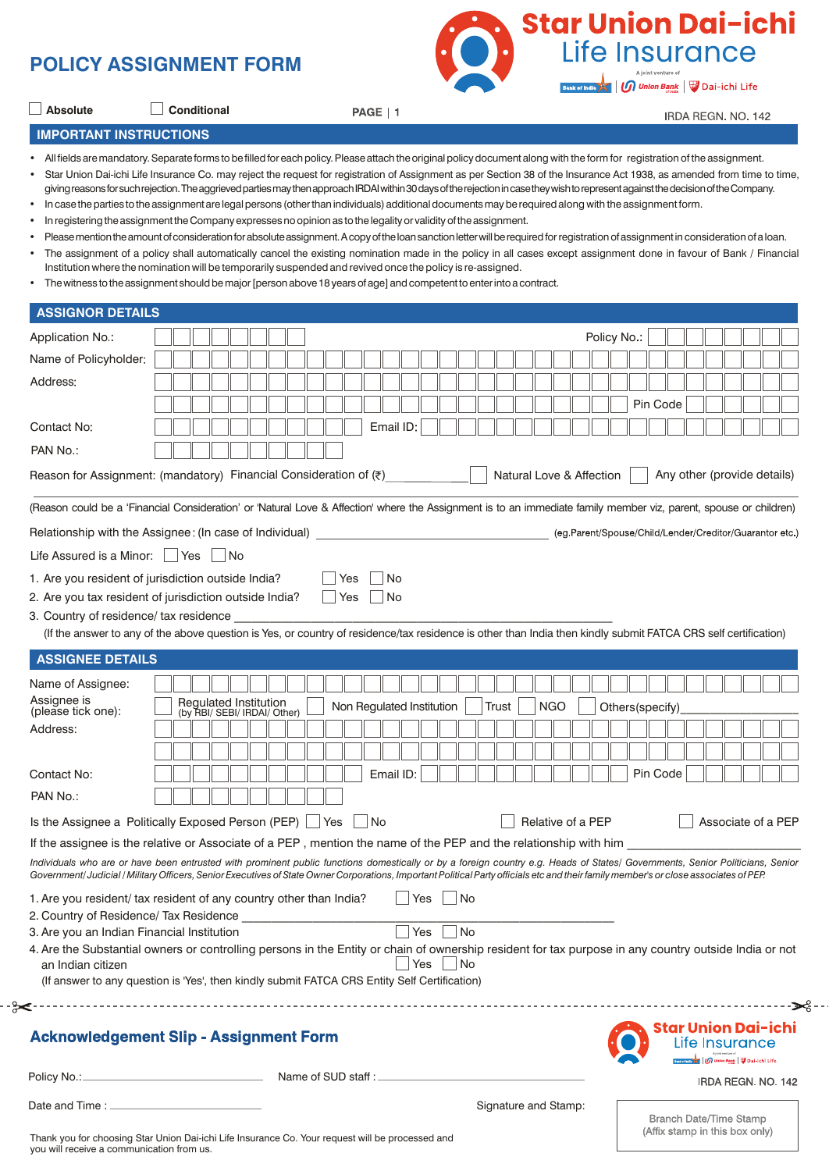



IRDA REGN, NO. 142

**IMPORTANT INSTRUCTIONS**

**Absolute Conditional** 

• All fields are mandatory. Separate forms to be filled for each policy. Please attach the original policy document along with the form for registration of the assignment.

• Star Union Dai-ichi Life Insurance Co. may reject the request for registration of Assignment as per Section 38 of the Insurance Act 1938, as amended from time to time, giving reasons for such rejection. The aggrieved parties may then approach IRDAI within 30 days of the rejection in case they wish to represent against the decision of the Company.

• In case the parties to the assignment are legal persons (other than individuals) additional documents may be required along with the assignment form.

PAGE | 1

- In registering the assignment the Company expresses no opinion as to the legality or validity of the assignment.
- Please mention the amount of consideration for absolute assignment. A copy of the loan sanction letter will be required for registration of assignment in consideration of a loan.
- The assignment of a policy shall automatically cancel the existing nomination made in the policy in all cases except assignment done in favour of Bank / Financial Institution where the nomination will be temporarily suspended and revived once the policy is re-assigned.
- The witness to the assignment should be major [person above 18 years of age] and competent to enter into a contract.

| <b>ASSIGNOR DETAILS</b>                         |                                                                                                                                                                                                                                                                                                                                                                         |                                                                 |
|-------------------------------------------------|-------------------------------------------------------------------------------------------------------------------------------------------------------------------------------------------------------------------------------------------------------------------------------------------------------------------------------------------------------------------------|-----------------------------------------------------------------|
| Application No.:                                | Policy No:                                                                                                                                                                                                                                                                                                                                                              |                                                                 |
| Name of Policyholder:                           |                                                                                                                                                                                                                                                                                                                                                                         |                                                                 |
| Address:                                        |                                                                                                                                                                                                                                                                                                                                                                         |                                                                 |
|                                                 |                                                                                                                                                                                                                                                                                                                                                                         | Pin Code                                                        |
| Contact No:                                     | Email ID:                                                                                                                                                                                                                                                                                                                                                               |                                                                 |
| PAN No.:                                        |                                                                                                                                                                                                                                                                                                                                                                         |                                                                 |
|                                                 | Reason for Assignment: (mandatory) Financial Consideration of $(7)$<br>Natural Love & Affection                                                                                                                                                                                                                                                                         | Any other (provide details)                                     |
|                                                 | (Reason could be a 'Financial Consideration' or 'Natural Love & Affection' where the Assignment is to an immediate family member viz, parent, spouse or children)                                                                                                                                                                                                       |                                                                 |
|                                                 | Relationship with the Assignee: (In case of Individual) ________________________                                                                                                                                                                                                                                                                                        | (eg Parent/Spouse/Child/Lender/Creditor/Guarantor etc.)         |
| Life Assured is a Minor: $\vert$ Yes $\vert$ No |                                                                                                                                                                                                                                                                                                                                                                         |                                                                 |
|                                                 | 1. Are you resident of jurisdiction outside India?<br>No<br>Yes                                                                                                                                                                                                                                                                                                         |                                                                 |
|                                                 | N <sub>o</sub><br>$ $ Yes<br>2. Are you tax resident of jurisdiction outside India?                                                                                                                                                                                                                                                                                     |                                                                 |
| 3. Country of residence/ tax residence          |                                                                                                                                                                                                                                                                                                                                                                         |                                                                 |
|                                                 | (If the answer to any of the above question is Yes, or country of residence/tax residence is other than India then kindly submit FATCA CRS self certification)                                                                                                                                                                                                          |                                                                 |
| <b>ASSIGNEE DETAILS</b>                         |                                                                                                                                                                                                                                                                                                                                                                         |                                                                 |
| Name of Assignee:                               |                                                                                                                                                                                                                                                                                                                                                                         |                                                                 |
| Assignee is<br>(please tick one):               | <b>Regulated Institution</b><br>Non Regulated Institution<br><b>NGO</b><br>Trust<br>(by RBI/ SEBI/ IRDAI/ Other)                                                                                                                                                                                                                                                        | Others(specify)                                                 |
| Address:                                        |                                                                                                                                                                                                                                                                                                                                                                         |                                                                 |
|                                                 |                                                                                                                                                                                                                                                                                                                                                                         |                                                                 |
| Contact No:                                     | Email ID:                                                                                                                                                                                                                                                                                                                                                               | Pin Code                                                        |
| PAN No.:                                        |                                                                                                                                                                                                                                                                                                                                                                         |                                                                 |
|                                                 | Is the Assignee a Politically Exposed Person (PEP)   Yes<br>$\vert$ No<br>Relative of a PEP                                                                                                                                                                                                                                                                             | Associate of a PEP                                              |
|                                                 | If the assignee is the relative or Associate of a PEP, mention the name of the PEP and the relationship with him                                                                                                                                                                                                                                                        |                                                                 |
|                                                 | Individuals who are or have been entrusted with prominent public functions domestically or by a foreign country e.g. Heads of States/ Governments, Senior Politicians, Senior<br>Government/ Judicial / Military Officers, Senior Executives of State Owner Corporations, Important Political Party officials etc and their family member's or close associates of PEP. |                                                                 |
|                                                 | 1. Are you resident/ tax resident of any country other than India?<br>No<br>Yes                                                                                                                                                                                                                                                                                         |                                                                 |
| 2. Country of Residence/ Tax Residence          |                                                                                                                                                                                                                                                                                                                                                                         |                                                                 |
| 3. Are you an Indian Financial Institution      | Yes<br>  No                                                                                                                                                                                                                                                                                                                                                             |                                                                 |
| an Indian citizen                               | 4. Are the Substantial owners or controlling persons in the Entity or chain of ownership resident for tax purpose in any country outside India or not<br>$Yes$ No                                                                                                                                                                                                       |                                                                 |
|                                                 | (If answer to any question is 'Yes', then kindly submit FATCA CRS Entity Self Certification)                                                                                                                                                                                                                                                                            |                                                                 |
| ⊱⊱                                              |                                                                                                                                                                                                                                                                                                                                                                         | ∙≫ട -                                                           |
|                                                 | <b>Acknowledgement Slip - Assignment Form</b>                                                                                                                                                                                                                                                                                                                           | Star Union Dai-ichi<br>Life Insurance<br><b>Dai-ichi Life</b>   |
|                                                 | Name of SUD staff :                                                                                                                                                                                                                                                                                                                                                     | IRDA REGN. NO. 142                                              |
|                                                 | Signature and Stamp:                                                                                                                                                                                                                                                                                                                                                    |                                                                 |
|                                                 |                                                                                                                                                                                                                                                                                                                                                                         | <b>Branch Date/Time Stamp</b><br>(Affix stamp in this box only) |

Thank you for choosing Star Union Dai-ichi Life Insurance Co. Your request will be processed and you will receive a communication from us.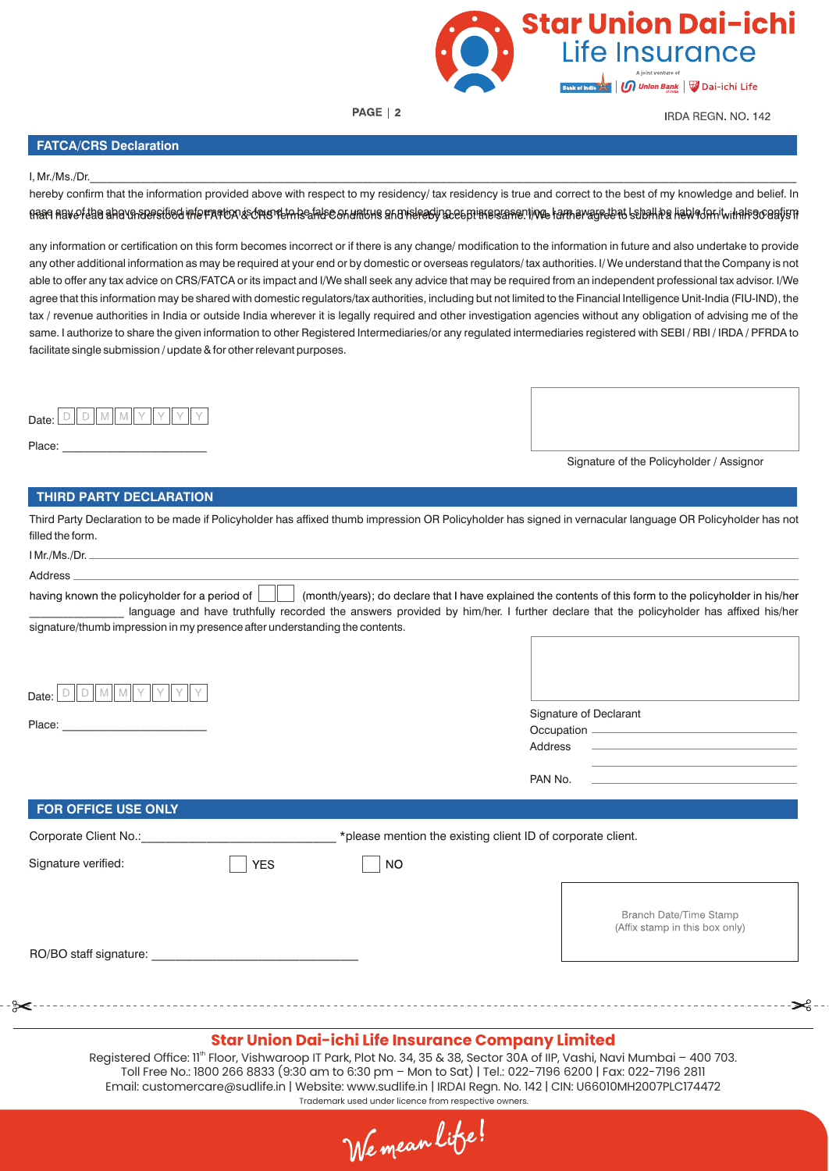

PAGE | 2

**IRDA REGN, NO. 142** 

## **FATCA/CRS Declaration**

#### I, Mr./Ms./Dr.\_\_\_\_\_\_\_\_\_\_\_\_\_\_\_\_\_\_\_\_\_\_\_\_\_\_\_\_\_\_\_\_\_\_\_\_\_\_\_\_\_\_\_\_\_\_\_\_\_\_\_\_\_\_\_\_\_\_\_\_\_\_\_\_\_\_\_\_\_\_\_\_\_\_\_\_\_\_\_\_\_\_\_\_\_\_\_\_\_\_\_\_\_\_\_\_\_\_\_\_\_\_\_\_\_\_\_\_\_\_\_\_\_\_\_\_\_\_\_\_\_\_\_\_\_\_\_

hereby confirm that the information provided above with respect to my residency/ tax residency is true and correct to the best of my knowledge and belief. In rase above the above specified information is found the state or untrue or misleading certifieds in the lam aware that I shall be liable falled for it will also captum

any information or certification on this form becomes incorrect or if there is any change/ modification to the information in future and also undertake to provide any other additional information as may be required at your end or by domestic or overseas regulators/ tax authorities. I/ We understand that the Company is not able to offer any tax advice on CRS/FATCA or its impact and I/We shall seek any advice that may be required from an independent professional tax advisor. I/We agree that this information may be shared with domestic regulators/tax authorities, including but not limited to the Financial Intelligence Unit-India (FIU-IND), the tax / revenue authorities in India or outside India wherever it is legally required and other investigation agencies without any obligation of advising me of the same. I authorize to share the given information to other Registered Intermediaries/or any regulated intermediaries registered with SEBI / RBI / IRDA / PFRDA to facilitate single submission / update & for other relevant purposes.



Place:

Signature of the Policyholder / Assignor

ළි−-

### **THIRD PARTY DECLARATION**

Third Party Declaration to be made if Policyholder has affixed thumb impression OR Policyholder has signed in vernacular language OR Policyholder has not filled the form.

| Address                                                                                                                                                                                                                        |                                                                                                                                                                                                                                                |
|--------------------------------------------------------------------------------------------------------------------------------------------------------------------------------------------------------------------------------|------------------------------------------------------------------------------------------------------------------------------------------------------------------------------------------------------------------------------------------------|
| having known the policyholder for a period of $\ \cdot\ $                                                                                                                                                                      | (month/years); do declare that I have explained the contents of this form to the policyholder in his/her<br>language and have truthfully recorded the answers provided by him/her. I further declare that the policyholder has affixed his/her |
| signature/thumb impression in my presence after understanding the contents.                                                                                                                                                    |                                                                                                                                                                                                                                                |
|                                                                                                                                                                                                                                | Signature of Declarant<br><u> 1980 - John Stone, Amerikaansk politiker (</u> † 1900)<br>Address                                                                                                                                                |
|                                                                                                                                                                                                                                | the control of the control of the control of the control of the control of the control of<br>PAN No.                                                                                                                                           |
|                                                                                                                                                                                                                                |                                                                                                                                                                                                                                                |
| FOR OFFICE USE ONLY                                                                                                                                                                                                            |                                                                                                                                                                                                                                                |
| Corporate Client No.:                                                                                                                                                                                                          | *please mention the existing client ID of corporate client.                                                                                                                                                                                    |
| Signature verified:<br><b>YES</b>                                                                                                                                                                                              | <b>NO</b>                                                                                                                                                                                                                                      |
| RO/BO staff signature: example and all the state of the state of the state of the state of the state of the state of the state of the state of the state of the state of the state of the state of the state of the state of t | Branch Date/Time Stamp<br>(Affix stamp in this box only)                                                                                                                                                                                       |
|                                                                                                                                                                                                                                |                                                                                                                                                                                                                                                |
|                                                                                                                                                                                                                                |                                                                                                                                                                                                                                                |
|                                                                                                                                                                                                                                |                                                                                                                                                                                                                                                |
|                                                                                                                                                                                                                                | Star Union Dai-ichi Life Insurance Company Limited                                                                                                                                                                                             |

#### Registered Office: 11<sup>th</sup> Floor, Vishwaroop IT Park, Plot No. 34, 35 & 38, Sector 30A of IIP, Vashi, Navi Mumbai – 400 703. Toll Free No.: 1800 266 8833 (9:30 am to 6:30 pm – Mon to Sat) | Tel.: 022-7196 6200 | Fax: 022-7196 2811 Email: customercare@sudlife.in | Website: www.sudlife.in | IRDAI Regn. No. 142 | CIN: U66010MH2007PLC174472 Trademark used under licence from respective owners.

We mean life!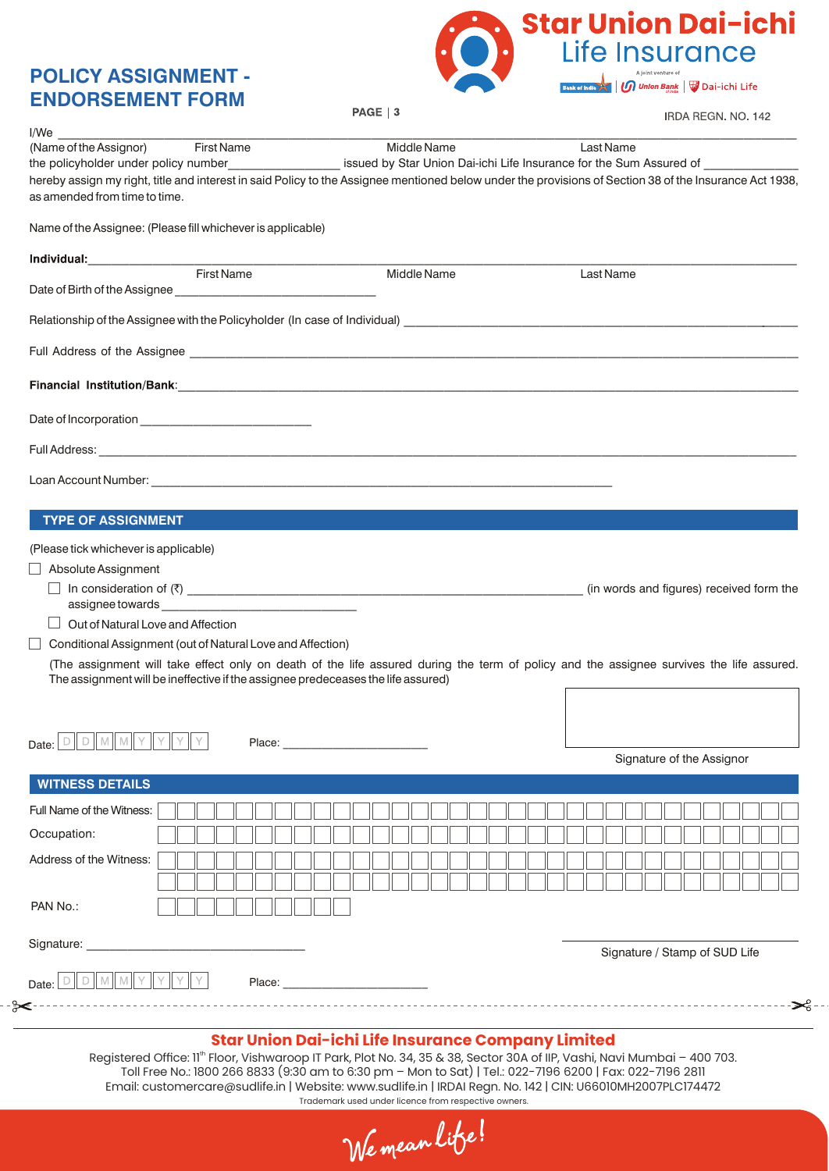# **POLICY ASSIGNMENT - ENDORSEMENT FORM**



PAGE | 3

IRDA REGN, NO. 142

|                                                                                                                                                                                                                                | <b>First Name</b>                                          | Middle Name<br><b>Last Name</b>                                                                                                                         |  |
|--------------------------------------------------------------------------------------------------------------------------------------------------------------------------------------------------------------------------------|------------------------------------------------------------|---------------------------------------------------------------------------------------------------------------------------------------------------------|--|
|                                                                                                                                                                                                                                |                                                            | the policyholder under policy number____________________ issued by Star Union Dai-ichi Life Insurance for the Sum Assured of                            |  |
| as amended from time to time.                                                                                                                                                                                                  |                                                            | hereby assign my right, title and interest in said Policy to the Assignee mentioned below under the provisions of Section 38 of the Insurance Act 1938, |  |
| Name of the Assignee: (Please fill whichever is applicable)                                                                                                                                                                    |                                                            |                                                                                                                                                         |  |
|                                                                                                                                                                                                                                |                                                            |                                                                                                                                                         |  |
|                                                                                                                                                                                                                                |                                                            | Middle Name<br>Last Name                                                                                                                                |  |
|                                                                                                                                                                                                                                |                                                            |                                                                                                                                                         |  |
|                                                                                                                                                                                                                                |                                                            |                                                                                                                                                         |  |
|                                                                                                                                                                                                                                |                                                            |                                                                                                                                                         |  |
|                                                                                                                                                                                                                                |                                                            |                                                                                                                                                         |  |
|                                                                                                                                                                                                                                |                                                            |                                                                                                                                                         |  |
|                                                                                                                                                                                                                                |                                                            |                                                                                                                                                         |  |
| <b>TYPE OF ASSIGNMENT</b>                                                                                                                                                                                                      |                                                            |                                                                                                                                                         |  |
|                                                                                                                                                                                                                                |                                                            |                                                                                                                                                         |  |
| (Please tick whichever is applicable)                                                                                                                                                                                          |                                                            |                                                                                                                                                         |  |
|                                                                                                                                                                                                                                |                                                            |                                                                                                                                                         |  |
| Absolute Assignment                                                                                                                                                                                                            |                                                            |                                                                                                                                                         |  |
|                                                                                                                                                                                                                                |                                                            | (in words and figures) received form the                                                                                                                |  |
|                                                                                                                                                                                                                                |                                                            |                                                                                                                                                         |  |
| Out of Natural Love and Affection                                                                                                                                                                                              |                                                            |                                                                                                                                                         |  |
|                                                                                                                                                                                                                                | Conditional Assignment (out of Natural Love and Affection) |                                                                                                                                                         |  |
|                                                                                                                                                                                                                                |                                                            | (The assignment will take effect only on death of the life assured during the term of policy and the assignee survives the life assured.                |  |
|                                                                                                                                                                                                                                |                                                            | The assignment will be ineffective if the assignee predeceases the life assured)                                                                        |  |
|                                                                                                                                                                                                                                |                                                            |                                                                                                                                                         |  |
| DIDIMIMIY                                                                                                                                                                                                                      |                                                            |                                                                                                                                                         |  |
|                                                                                                                                                                                                                                | Place:                                                     | Signature of the Assignor                                                                                                                               |  |
| Date:<br><b>WITNESS DETAILS</b>                                                                                                                                                                                                |                                                            |                                                                                                                                                         |  |
| Full Name of the Witness:                                                                                                                                                                                                      |                                                            |                                                                                                                                                         |  |
| Occupation:                                                                                                                                                                                                                    |                                                            |                                                                                                                                                         |  |
|                                                                                                                                                                                                                                |                                                            |                                                                                                                                                         |  |
| Address of the Witness:                                                                                                                                                                                                        |                                                            |                                                                                                                                                         |  |
|                                                                                                                                                                                                                                |                                                            |                                                                                                                                                         |  |
| PAN No.:                                                                                                                                                                                                                       |                                                            |                                                                                                                                                         |  |
| Signature: Web and the contract of the contract of the contract of the contract of the contract of the contract of the contract of the contract of the contract of the contract of the contract of the contract of the contrac |                                                            | Signature / Stamp of SUD Life                                                                                                                           |  |
|                                                                                                                                                                                                                                |                                                            |                                                                                                                                                         |  |
|                                                                                                                                                                                                                                |                                                            |                                                                                                                                                         |  |

We mean life!

Email: customercare@sudlife.in | Website: www.sudlife.in | IRDAI Regn. No. 142 | CIN: U66010MH2007PLC174472 Trademark used under licence from respective owners.